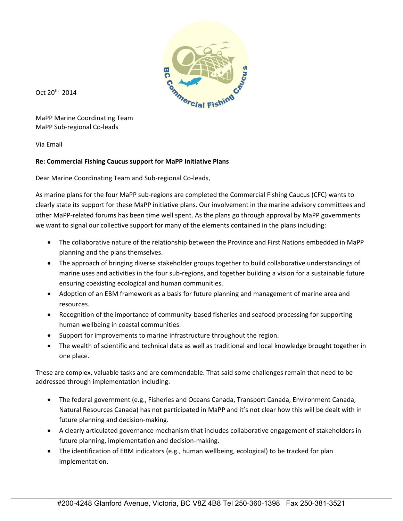

Oct 20th 2014

MaPP Marine Coordinating Team MaPP Sub‐regional Co‐leads

Via Email

## **Re: Commercial Fishing Caucus support for MaPP Initiative Plans**

Dear Marine Coordinating Team and Sub‐regional Co‐leads,

As marine plans for the four MaPP sub‐regions are completed the Commercial Fishing Caucus (CFC) wants to clearly state its support for these MaPP initiative plans. Our involvement in the marine advisory committees and other MaPP‐related forums has been time well spent. As the plans go through approval by MaPP governments we want to signal our collective support for many of the elements contained in the plans including:

- The collaborative nature of the relationship between the Province and First Nations embedded in MaPP planning and the plans themselves.
- The approach of bringing diverse stakeholder groups together to build collaborative understandings of marine uses and activities in the four sub‐regions, and together building a vision for a sustainable future ensuring coexisting ecological and human communities.
- Adoption of an EBM framework as a basis for future planning and management of marine area and resources.
- Recognition of the importance of community-based fisheries and seafood processing for supporting human wellbeing in coastal communities.
- Support for improvements to marine infrastructure throughout the region.
- The wealth of scientific and technical data as well as traditional and local knowledge brought together in one place.

These are complex, valuable tasks and are commendable. That said some challenges remain that need to be addressed through implementation including:

- The federal government (e.g., Fisheries and Oceans Canada, Transport Canada, Environment Canada, Natural Resources Canada) has not participated in MaPP and it's not clear how this will be dealt with in future planning and decision‐making.
- A clearly articulated governance mechanism that includes collaborative engagement of stakeholders in future planning, implementation and decision‐making.
- The identification of EBM indicators (e.g., human wellbeing, ecological) to be tracked for plan implementation.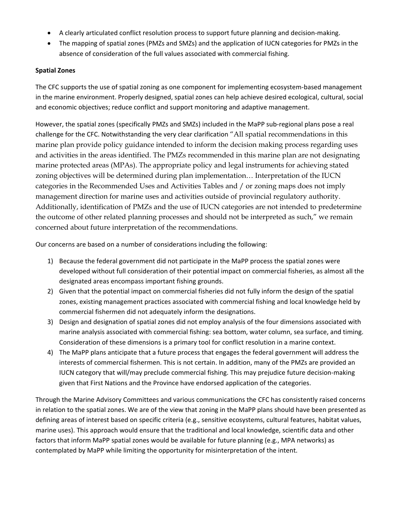- A clearly articulated conflict resolution process to support future planning and decision‐making.
- The mapping of spatial zones (PMZs and SMZs) and the application of IUCN categories for PMZs in the absence of consideration of the full values associated with commercial fishing.

## **Spatial Zones**

The CFC supports the use of spatial zoning as one component for implementing ecosystem-based management in the marine environment. Properly designed, spatial zones can help achieve desired ecological, cultural, social and economic objectives; reduce conflict and support monitoring and adaptive management.

However, the spatial zones (specifically PMZs and SMZs) included in the MaPP sub‐regional plans pose a real challenge for the CFC. Notwithstanding the very clear clarification "All spatial recommendations in this marine plan provide policy guidance intended to inform the decision making process regarding uses and activities in the areas identified. The PMZs recommended in this marine plan are not designating marine protected areas (MPAs). The appropriate policy and legal instruments for achieving stated zoning objectives will be determined during plan implementation… Interpretation of the IUCN categories in the Recommended Uses and Activities Tables and / or zoning maps does not imply management direction for marine uses and activities outside of provincial regulatory authority. Additionally, identification of PMZs and the use of IUCN categories are not intended to predetermine the outcome of other related planning processes and should not be interpreted as such," we remain concerned about future interpretation of the recommendations.

Our concerns are based on a number of considerations including the following:

- 1) Because the federal government did not participate in the MaPP process the spatial zones were developed without full consideration of their potential impact on commercial fisheries, as almost all the designated areas encompass important fishing grounds.
- 2) Given that the potential impact on commercial fisheries did not fully inform the design of the spatial zones, existing management practices associated with commercial fishing and local knowledge held by commercial fishermen did not adequately inform the designations.
- 3) Design and designation of spatial zones did not employ analysis of the four dimensions associated with marine analysis associated with commercial fishing: sea bottom, water column, sea surface, and timing. Consideration of these dimensions is a primary tool for conflict resolution in a marine context.
- 4) The MaPP plans anticipate that a future process that engages the federal government will address the interests of commercial fishermen. This is not certain. In addition, many of the PMZs are provided an IUCN category that will/may preclude commercial fishing. This may prejudice future decision‐making given that First Nations and the Province have endorsed application of the categories.

Through the Marine Advisory Committees and various communications the CFC has consistently raised concerns in relation to the spatial zones. We are of the view that zoning in the MaPP plans should have been presented as defining areas of interest based on specific criteria (e.g., sensitive ecosystems, cultural features, habitat values, marine uses). This approach would ensure that the traditional and local knowledge, scientific data and other factors that inform MaPP spatial zones would be available for future planning (e.g., MPA networks) as contemplated by MaPP while limiting the opportunity for misinterpretation of the intent.